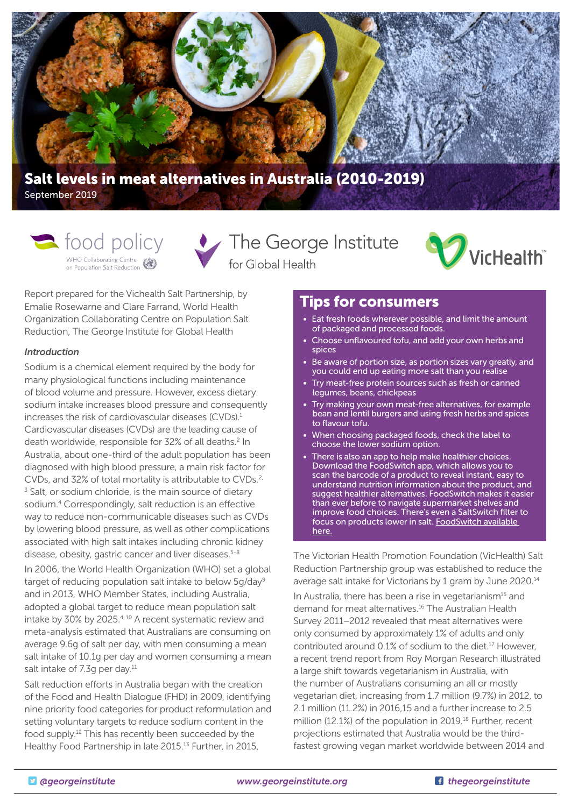

September 2019

WHO Collaborating Centre

Solo policy Contract The George Institute for Global Health



Report prepared for the Vichealth Salt Partnership, by Emalie Rosewarne and Clare Farrand, World Health Organization Collaborating Centre on Population Salt Reduction, The George Institute for Global Health

### *Introduction*

Sodium is a chemical element required by the body for many physiological functions including maintenance of blood volume and pressure. However, excess dietary sodium intake increases blood pressure and consequently increases the risk of cardiovascular diseases (CVDs).1 Cardiovascular diseases (CVDs) are the leading cause of death worldwide, responsible for 32% of all deaths.<sup>2</sup> In Australia, about one-third of the adult population has been diagnosed with high blood pressure, a main risk factor for CVDs, and 32% of total mortality is attributable to CVDs.<sup>2,</sup> <sup>3</sup> Salt, or sodium chloride, is the main source of dietary sodium.<sup>4</sup> Correspondingly, salt reduction is an effective way to reduce non-communicable diseases such as CVDs by lowering blood pressure, as well as other complications associated with high salt intakes including chronic kidney disease, obesity, gastric cancer and liver diseases.<sup>5-8</sup>

In 2006, the World Health Organization (WHO) set a global target of reducing population salt intake to below 5g/day<sup>9</sup> and in 2013, WHO Member States, including Australia, adopted a global target to reduce mean population salt intake by 30% by 2025.<sup>4, 10</sup> A recent systematic review and meta-analysis estimated that Australians are consuming on average 9.6g of salt per day, with men consuming a mean salt intake of 10.1g per day and women consuming a mean salt intake of 7.3g per day.<sup>11</sup>

Salt reduction efforts in Australia began with the creation of the Food and Health Dialogue (FHD) in 2009, identifying nine priority food categories for product reformulation and setting voluntary targets to reduce sodium content in the food supply.12 This has recently been succeeded by the Healthy Food Partnership in late 2015.<sup>13</sup> Further, in 2015,

# Tips for consumers

- Eat fresh foods wherever possible, and limit the amount of packaged and processed foods.
- Choose unflavoured tofu, and add your own herbs and spices
- Be aware of portion size, as portion sizes vary greatly, and you could end up eating more salt than you realise
- Try meat-free protein sources such as fresh or canned legumes, beans, chickpeas
- Try making your own meat-free alternatives, for example bean and lentil burgers and using fresh herbs and spices to flavour tofu.
- When choosing packaged foods, check the label to choose the lower sodium option.
- There is also an app to help make healthier choices. Download the FoodSwitch app, which allows you to scan the barcode of a product to reveal instant, easy to understand nutrition information about the product, and suggest healthier alternatives. FoodSwitch makes it easier than ever before to navigate supermarket shelves and improve food choices. There's even a SaltSwitch filter to focus on products lower in salt. [FoodSwitch available](http://www.foodswitch.com.au)  [here.](http://www.foodswitch.com.au)

The Victorian Health Promotion Foundation (VicHealth) Salt Reduction Partnership group was established to reduce the average salt intake for Victorians by 1 gram by June 2020.14

In Australia, there has been a rise in vegetarianism<sup>15</sup> and demand for meat alternatives.16 The Australian Health Survey 2011–2012 revealed that meat alternatives were only consumed by approximately 1% of adults and only contributed around 0.1% of sodium to the diet.17 However, a recent trend report from Roy Morgan Research illustrated a large shift towards vegetarianism in Australia, with the number of Australians consuming an all or mostly vegetarian diet, increasing from 1.7 million (9.7%) in 2012, to 2.1 million (11.2%) in 2016,15 and a further increase to 2.5 million (12.1%) of the population in 2019.18 Further, recent projections estimated that Australia would be the thirdfastest growing vegan market worldwide between 2014 and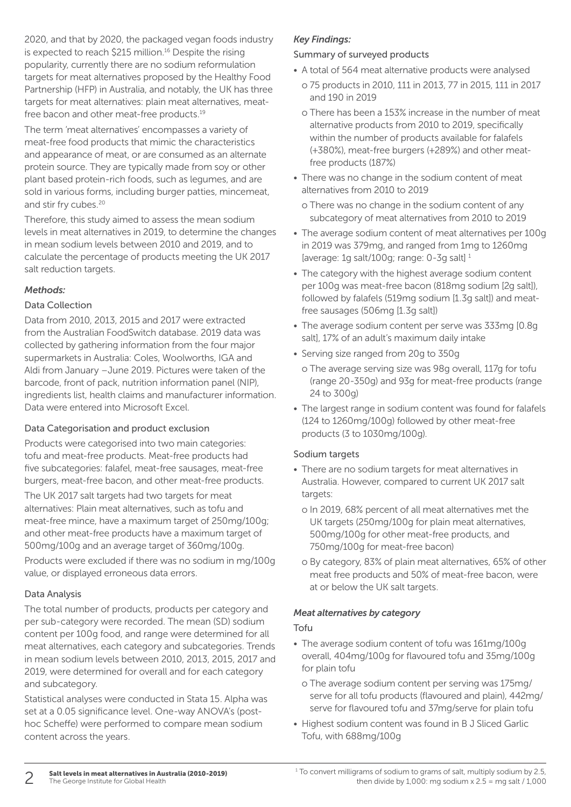2020, and that by 2020, the packaged vegan foods industry is expected to reach \$215 million.<sup>16</sup> Despite the rising popularity, currently there are no sodium reformulation targets for meat alternatives proposed by the Healthy Food Partnership (HFP) in Australia, and notably, the UK has three targets for meat alternatives: plain meat alternatives, meatfree bacon and other meat-free products.<sup>19</sup>

The term 'meat alternatives' encompasses a variety of meat-free food products that mimic the characteristics and appearance of meat, or are consumed as an alternate protein source. They are typically made from soy or other plant based protein-rich foods, such as legumes, and are sold in various forms, including burger patties, mincemeat, and stir fry cubes.<sup>20</sup>

Therefore, this study aimed to assess the mean sodium levels in meat alternatives in 2019, to determine the changes in mean sodium levels between 2010 and 2019, and to calculate the percentage of products meeting the UK 2017 salt reduction targets.

# *Methods:*

### Data Collection

Data from 2010, 2013, 2015 and 2017 were extracted from the Australian FoodSwitch database. 2019 data was collected by gathering information from the four major supermarkets in Australia: Coles, Woolworths, IGA and Aldi from January –June 2019. Pictures were taken of the barcode, front of pack, nutrition information panel (NIP), ingredients list, health claims and manufacturer information. Data were entered into Microsoft Excel.

# Data Categorisation and product exclusion

Products were categorised into two main categories: tofu and meat-free products. Meat-free products had five subcategories: falafel, meat-free sausages, meat-free burgers, meat-free bacon, and other meat-free products.

The UK 2017 salt targets had two targets for meat alternatives: Plain meat alternatives, such as tofu and meat-free mince, have a maximum target of 250mg/100g; and other meat-free products have a maximum target of 500mg/100g and an average target of 360mg/100g.

Products were excluded if there was no sodium in mg/100g value, or displayed erroneous data errors.

# Data Analysis

The total number of products, products per category and per sub-category were recorded. The mean (SD) sodium content per 100g food, and range were determined for all meat alternatives, each category and subcategories. Trends in mean sodium levels between 2010, 2013, 2015, 2017 and 2019, were determined for overall and for each category and subcategory.

Statistical analyses were conducted in Stata 15. Alpha was set at a 0.05 significance level. One-way ANOVA's (posthoc Scheffe) were performed to compare mean sodium content across the years.

# *Key Findings:*

#### Summary of surveyed products

- A total of 564 meat alternative products were analysed
	- o 75 products in 2010, 111 in 2013, 77 in 2015, 111 in 2017 and 190 in 2019
	- o There has been a 153% increase in the number of meat alternative products from 2010 to 2019, specifically within the number of products available for falafels (+380%), meat-free burgers (+289%) and other meatfree products (187%)
- There was no change in the sodium content of meat alternatives from 2010 to 2019
	- o There was no change in the sodium content of any subcategory of meat alternatives from 2010 to 2019
- The average sodium content of meat alternatives per 100g in 2019 was 379mg, and ranged from 1mg to 1260mg [average: 1g salt/100g; range: 0-3g salt] 1
- The category with the highest average sodium content per 100g was meat-free bacon (818mg sodium [2g salt]), followed by falafels (519mg sodium [1.3g salt]) and meatfree sausages (506mg [1.3g salt])
- The average sodium content per serve was 333mg [0.8g salt], 17% of an adult's maximum daily intake
- Serving size ranged from 20g to 350g
	- o The average serving size was 98g overall, 117g for tofu (range 20-350g) and 93g for meat-free products (range 24 to 300g)
- The largest range in sodium content was found for falafels (124 to 1260mg/100g) followed by other meat-free products (3 to 1030mg/100g).

# Sodium targets

- There are no sodium targets for meat alternatives in Australia. However, compared to current UK 2017 salt targets:
	- o In 2019, 68% percent of all meat alternatives met the UK targets (250mg/100g for plain meat alternatives, 500mg/100g for other meat-free products, and 750mg/100g for meat-free bacon)
	- o By category, 83% of plain meat alternatives, 65% of other meat free products and 50% of meat-free bacon, were at or below the UK salt targets.

# *Meat alternatives by category*

# Tofu

- The average sodium content of tofu was 161mg/100g overall, 404mg/100g for flavoured tofu and 35mg/100g for plain tofu
	- o The average sodium content per serving was 175mg/ serve for all tofu products (flavoured and plain), 442mg/ serve for flavoured tofu and 37mg/serve for plain tofu
- Highest sodium content was found in B J Sliced Garlic Tofu, with 688mg/100g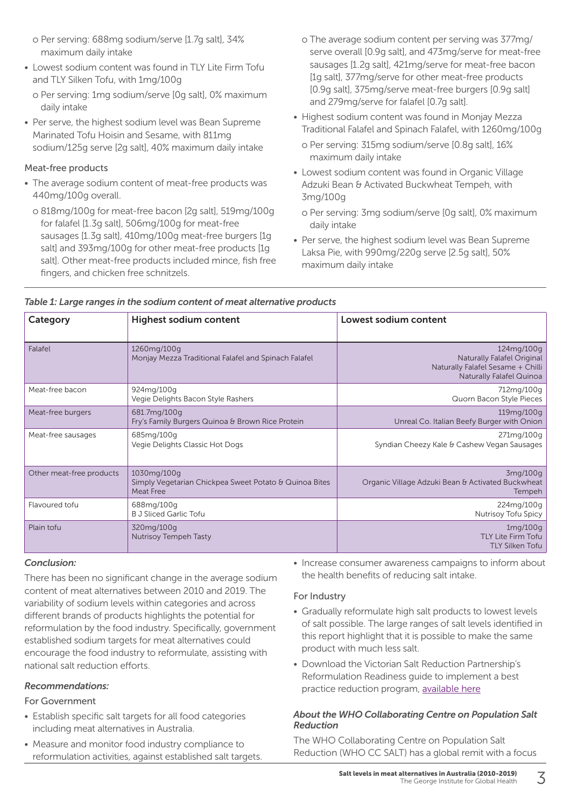- o Per serving: 688mg sodium/serve [1.7g salt], 34% maximum daily intake
- Lowest sodium content was found in TLY Lite Firm Tofu and TLY Silken Tofu, with 1mg/100g
	- o Per serving: 1mg sodium/serve [0g salt], 0% maximum daily intake
- Per serve, the highest sodium level was Bean Supreme Marinated Tofu Hoisin and Sesame, with 811mg sodium/125g serve [2g salt], 40% maximum daily intake

### Meat-free products

- The average sodium content of meat-free products was 440mg/100g overall.
	- o 818mg/100g for meat-free bacon [2g salt], 519mg/100g for falafel [1.3g salt], 506mg/100g for meat-free sausages [1.3g salt], 410mg/100g meat-free burgers [1g salt] and 393mg/100g for other meat-free products [1g] saltl. Other meat-free products included mince, fish free fingers, and chicken free schnitzels.
- o The average sodium content per serving was 377mg/ serve overall [0.9g salt], and 473mg/serve for meat-free sausages [1.2g salt], 421mg/serve for meat-free bacon [1g salt], 377mg/serve for other meat-free products [0.9g salt], 375mg/serve meat-free burgers [0.9g salt] and 279mg/serve for falafel [0.7g salt].
- Highest sodium content was found in Monjay Mezza Traditional Falafel and Spinach Falafel, with 1260mg/100g
	- o Per serving: 315mg sodium/serve [0.8g salt], 16% maximum daily intake
- Lowest sodium content was found in Organic Village Adzuki Bean & Activated Buckwheat Tempeh, with 3mg/100g
	- o Per serving: 3mg sodium/serve [0g salt], 0% maximum daily intake
- Per serve, the highest sodium level was Bean Supreme Laksa Pie, with 990mg/220g serve [2.5g salt], 50% maximum daily intake

| Category                 | <b>Highest sodium content</b>                                                      | Lowest sodium content                                                                                            |  |  |  |  |
|--------------------------|------------------------------------------------------------------------------------|------------------------------------------------------------------------------------------------------------------|--|--|--|--|
| Falafel                  | 1260mg/100g<br>Monjay Mezza Traditional Falafel and Spinach Falafel                | 124mg/100g<br>Naturally Falafel Original<br>Naturally Falafel Sesame + Chilli<br><b>Naturally Falafel Quinoa</b> |  |  |  |  |
| Meat-free bacon          | 924mg/100g<br>Vegie Delights Bacon Style Rashers                                   | 712mg/100g<br>Quorn Bacon Style Pieces                                                                           |  |  |  |  |
| Meat-free burgers        | 681.7mg/100g<br>Fry's Family Burgers Quinoa & Brown Rice Protein                   | 119mg/100g<br>Unreal Co. Italian Beefy Burger with Onion                                                         |  |  |  |  |
| Meat-free sausages       | 685mg/100g<br>Vegie Delights Classic Hot Dogs                                      | 271mg/100g<br>Syndian Cheezy Kale & Cashew Vegan Sausages                                                        |  |  |  |  |
| Other meat-free products | 1030mg/100g<br>Simply Vegetarian Chickpea Sweet Potato & Quinoa Bites<br>Meat Free | 3mg/100g<br>Organic Village Adzuki Bean & Activated Buckwheat<br>Tempeh                                          |  |  |  |  |
| Flavoured tofu           | 688mg/100g<br><b>B J Sliced Garlic Tofu</b>                                        | 224mg/100g<br>Nutrisoy Tofu Spicy                                                                                |  |  |  |  |
| Plain tofu               | 320mg/100g<br>Nutrisoy Tempeh Tasty                                                | 1mg/100g<br><b>TLY Lite Firm Tofu</b><br><b>TLY Silken Tofu</b>                                                  |  |  |  |  |

# *Table 1: Large ranges in the sodium content of meat alternative products*

#### *Conclusion:*

There has been no significant change in the average sodium content of meat alternatives between 2010 and 2019. The variability of sodium levels within categories and across different brands of products highlights the potential for reformulation by the food industry. Specifically, government established sodium targets for meat alternatives could encourage the food industry to reformulate, assisting with national salt reduction efforts.

# *Recommendations:*

# For Government

- Establish specific salt targets for all food categories including meat alternatives in Australia.
- Measure and monitor food industry compliance to reformulation activities, against established salt targets.

• Increase consumer awareness campaigns to inform about the health benefits of reducing salt intake.

# For Industry

- Gradually reformulate high salt products to lowest levels of salt possible. The large ranges of salt levels identified in this report highlight that it is possible to make the same product with much less salt.
- Download the Victorian Salt Reduction Partnership's Reformulation Readiness guide to implement a best practice reduction program, [available here](https://unpackthesalt.com.au/wp-content/uploads/2019/06/Reformulation-Readiness-How-To-Guide.pdf)

### *About the WHO Collaborating Centre on Population Salt Reduction*

The WHO Collaborating Centre on Population Salt Reduction (WHO CC SALT) has a global remit with a focus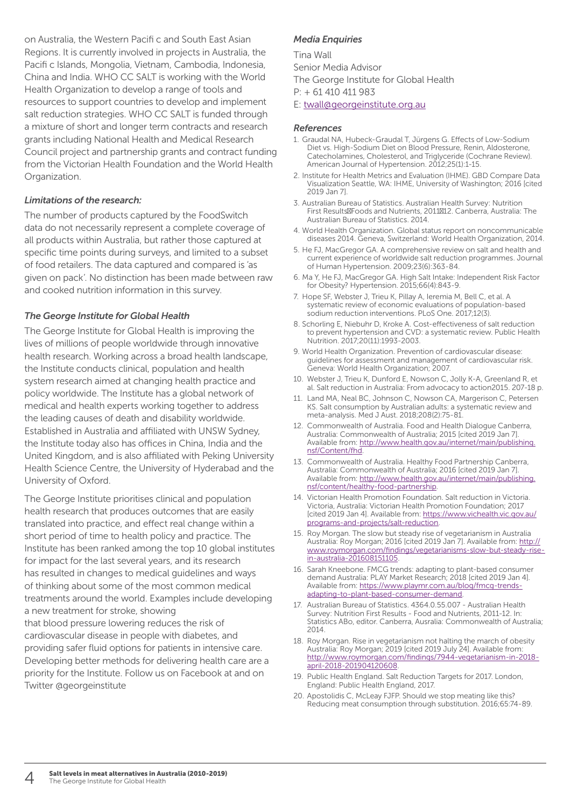on Australia, the Western Pacifi c and South East Asian Regions. It is currently involved in projects in Australia, the Pacifi c Islands, Mongolia, Vietnam, Cambodia, Indonesia, China and India. WHO CC SALT is working with the World Health Organization to develop a range of tools and resources to support countries to develop and implement salt reduction strategies. WHO CC SALT is funded through a mixture of short and longer term contracts and research grants including National Health and Medical Research Council project and partnership grants and contract funding from the Victorian Health Foundation and the World Health Organization.

### *Limitations of the research:*

The number of products captured by the FoodSwitch data do not necessarily represent a complete coverage of all products within Australia, but rather those captured at specific time points during surveys, and limited to a subset of food retailers. The data captured and compared is 'as given on pack'. No distinction has been made between raw and cooked nutrition information in this survey.

### *The George Institute for Global Health*

The George Institute for Global Health is improving the lives of millions of people worldwide through innovative health research. Working across a broad health landscape, the Institute conducts clinical, population and health system research aimed at changing health practice and policy worldwide. The Institute has a global network of medical and health experts working together to address the leading causes of death and disability worldwide. Established in Australia and affiliated with UNSW Sydney, the Institute today also has offices in China, India and the United Kingdom, and is also affiliated with Peking University Health Science Centre, the University of Hyderabad and the University of Oxford.

The George Institute prioritises clinical and population health research that produces outcomes that are easily translated into practice, and effect real change within a short period of time to health policy and practice. The Institute has been ranked among the top 10 global institutes for impact for the last several years, and its research has resulted in changes to medical guidelines and ways of thinking about some of the most common medical treatments around the world. Examples include developing a new treatment for stroke, showing that blood pressure lowering reduces the risk of cardiovascular disease in people with diabetes, and providing safer fluid options for patients in intensive care. Developing better methods for delivering health care are a priority for the Institute. Follow us on Facebook at and on Twitter @georgeinstitute

#### *Media Enquiries*

Tina Wall Senior Media Advisor The George Institute for Global Health P: + 61 410 411 983

#### E: twall[@georgeinstitute.org.au](mailto:twall%40georgeinstitute.org.au?subject=Salt%20levels%20in%20meat%20alternatives%20in%20Australia%20)

#### *References*

- 1. Graudal NA, Hubeck-Graudal T, Jürgens G. Effects of Low-Sodium Diet vs. High-Sodium Diet on Blood Pressure, Renin, Aldosterone, Catecholamines, Cholesterol, and Triglyceride (Cochrane Review). American Journal of Hypertension. 2012;25(1):1-15.
- 2. Institute for Health Metrics and Evaluation (IHME). GBD Compare Data Visualization Seattle, WA: IHME, University of Washington; 2016 [cited 2019 Jan 7].
- 3. Australian Bureau of Statistics. Australian Health Survey: Nutrition First Results Foods and Nutrients, 2011 12. Canberra, Australia: The Australian Bureau of Statistics. 2014.
- 4. World Health Organization. Global status report on noncommunicable diseases 2014. Geneva, Switzerland: World Health Organization, 2014.
- 5. He FJ, MacGregor GA. A comprehensive review on salt and health and current experience of worldwide salt reduction programmes. Journal of Human Hypertension. 2009;23(6):363-84.
- 6. Ma Y, He FJ, MacGregor GA. High Salt Intake: Independent Risk Factor for Obesity? Hypertension. 2015;66(4):843-9.
- 7. Hope SF, Webster J, Trieu K, Pillay A, Ieremia M, Bell C, et al. A systematic review of economic evaluations of population-based sodium reduction interventions. PLoS One. 2017;12(3).
- 8. Schorling E, Niebuhr D, Kroke A. Cost-effectiveness of salt reduction to prevent hypertension and CVD: a systematic review. Public Health Nutrition. 2017;20(11):1993-2003.
- 9. World Health Organization. Prevention of cardiovascular disease: guidelines for assessment and management of cardiovascular risk. Geneva: World Health Organization; 2007.
- 10. Webster J, Trieu K, Dunford E, Nowson C, Jolly K-A, Greenland R, et al. Salt reduction in Australia: From advocacy to action2015. 207-18 p.
- 11. Land MA, Neal BC, Johnson C, Nowson CA, Margerison C, Petersen KS. Salt consumption by Australian adults: a systematic review and meta-analysis. Med J Aust. 2018;208(2):75-81.
- 12. Commonwealth of Australia. Food and Health Dialogue Canberra, Australia: Commonwealth of Australia; 2015 [cited 2019 Jan 7]. Available from: [http://www.health.gov.au/internet/main/publishing.](http://www.health.gov.au/internet/main/publishing.nsf/Content/fhd) [nsf/Content/fhd.](http://www.health.gov.au/internet/main/publishing.nsf/Content/fhd)
- 13. Commonwealth of Australia. Healthy Food Partnership Canberra, Australia: Commonwealth of Australia; 2016 [cited 2019 Jan 7]. Available from: [http://www.health.gov.au/internet/main/publishing.](http://www.health.gov.au/internet/main/publishing.nsf/content/healthy-food-partnership) [nsf/content/healthy-food-partnership](http://www.health.gov.au/internet/main/publishing.nsf/content/healthy-food-partnership).
- 14. Victorian Health Promotion Foundation. Salt reduction in Victoria. Victoria, Australia: Victorian Health Promotion Foundation; 2017 [cited 2019 Jan 4]. Available from: [https://www.vichealth.vic.gov.au/](https://www.vichealth.vic.gov.au/programs-and-projects/salt-reduction) [programs-and-projects/salt-reduction](https://www.vichealth.vic.gov.au/programs-and-projects/salt-reduction).
- 15. Roy Morgan. The slow but steady rise of vegetarianism in Australia Australia: Roy Morgan; 2016 [cited 2019 Jan 7]. Available from: [http://](http://www.roymorgan.com/findings/vegetarianisms-slow-but-steady-rise-in-australia-201608151105) [www.roymorgan.com/findings/vegetarianisms-slow-but-steady-rise](http://www.roymorgan.com/findings/vegetarianisms-slow-but-steady-rise-in-australia-201608151105)[in-australia-201608151105.](http://www.roymorgan.com/findings/vegetarianisms-slow-but-steady-rise-in-australia-201608151105)
- 16. Sarah Kneebone. FMCG trends: adapting to plant-based consumer demand Australia: PLAY Market Research; 2018 [cited 2019 Jan 4]. Available from: [https://www.playmr.com.au/blog/fmcg-trends](https://www.playmr.com.au/blog/fmcg-trends-adapting-to-plant-based-consumer-demand)[adapting-to-plant-based-consumer-demand.](https://www.playmr.com.au/blog/fmcg-trends-adapting-to-plant-based-consumer-demand)
- 17. Australian Bureau of Statistics. 4364.0.55.007 Australian Health Survey: Nutrition First Results - Food and Nutrients, 2011-12. In: Statistics ABo, editor. Canberra, Ausralia: Commonwealth of Australia; 2014.
- 18. Roy Morgan. Rise in vegetarianism not halting the march of obesity Australia: Roy Morgan; 2019 [cited 2019 July 24]. Available from: [http://www.roymorgan.com/findings/7944-vegetarianism-in-2018](http://www.roymorgan.com/findings/7944-vegetarianism-in-2018-april-2018-201904120608) [april-2018-201904120608](http://www.roymorgan.com/findings/7944-vegetarianism-in-2018-april-2018-201904120608).
- 19. Public Health England. Salt Reduction Targets for 2017. London, England: Public Health England, 2017.
- 20. Apostolidis C, McLeay FJFP. Should we stop meating like this? Reducing meat consumption through substitution. 2016;65:74-89.